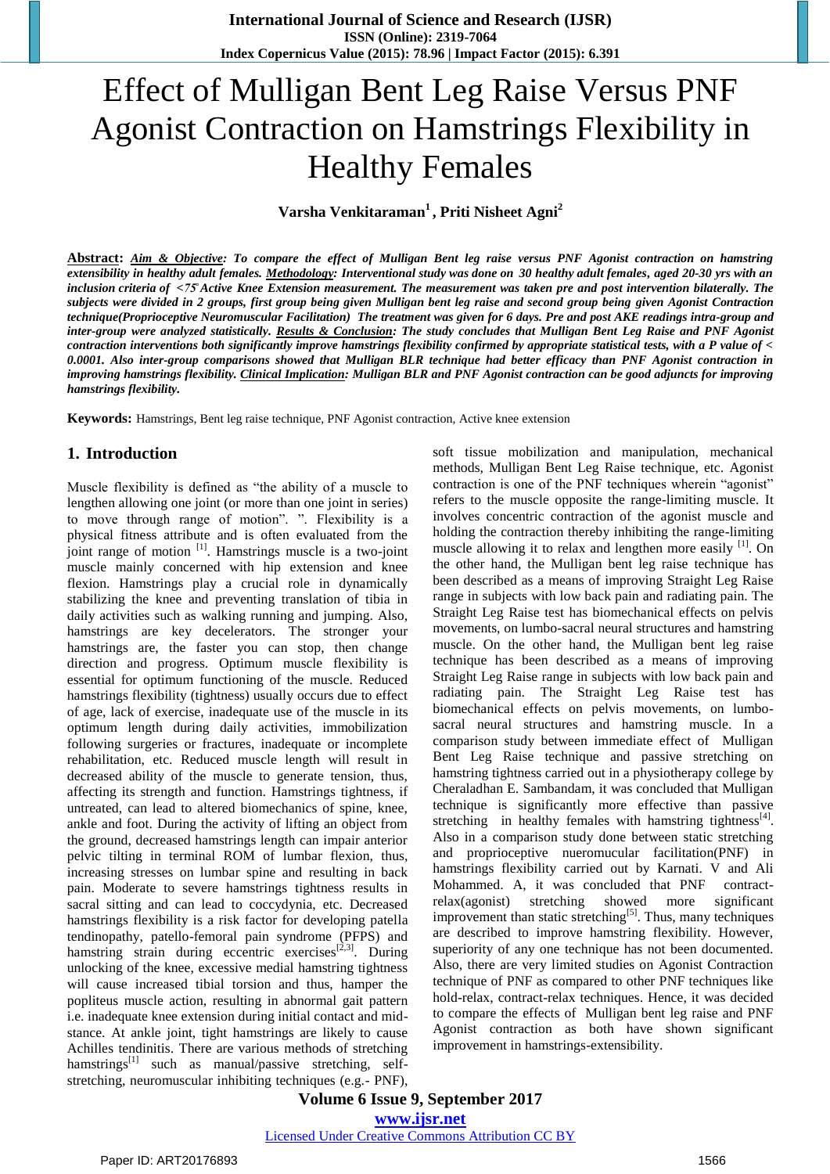# Effect of Mulligan Bent Leg Raise Versus PNF Agonist Contraction on Hamstrings Flexibility in Healthy Females

**Varsha Venkitaraman<sup>1</sup> , Priti Nisheet Agni<sup>2</sup>**

**Abstract:** *Aim & Objective: To compare the effect of Mulligan Bent leg raise versus PNF Agonist contraction on hamstring extensibility in healthy adult females. Methodology: Interventional study was done on 30 healthy adult females, aged 20-30 yrs with an inclusion criteria of <75̊Active Knee Extension measurement. The measurement was taken pre and post intervention bilaterally. The subjects were divided in 2 groups, first group being given Mulligan bent leg raise and second group being given Agonist Contraction technique(Proprioceptive Neuromuscular Facilitation) The treatment was given for 6 days. Pre and post AKE readings intra-group and inter-group were analyzed statistically. Results & Conclusion: The study concludes that Mulligan Bent Leg Raise and PNF Agonist contraction interventions both significantly improve hamstrings flexibility confirmed by appropriate statistical tests, with a P value of < 0.0001. Also inter-group comparisons showed that Mulligan BLR technique had better efficacy than PNF Agonist contraction in improving hamstrings flexibility. Clinical Implication: Mulligan BLR and PNF Agonist contraction can be good adjuncts for improving hamstrings flexibility.*

**Keywords:** Hamstrings, Bent leg raise technique, PNF Agonist contraction, Active knee extension

## **1. Introduction**

Muscle flexibility is defined as "the ability of a muscle to lengthen allowing one joint (or more than one joint in series) to move through range of motion". ". Flexibility is a physical fitness attribute and is often evaluated from the joint range of motion  $\left| \cdot \right|$ . Hamstrings muscle is a two-joint muscle mainly concerned with hip extension and knee flexion. Hamstrings play a crucial role in dynamically stabilizing the knee and preventing translation of tibia in daily activities such as walking running and jumping. Also, hamstrings are key decelerators. The stronger your hamstrings are, the faster you can stop, then change direction and progress. Optimum muscle flexibility is essential for optimum functioning of the muscle. Reduced hamstrings flexibility (tightness) usually occurs due to effect of age, lack of exercise, inadequate use of the muscle in its optimum length during daily activities, immobilization following surgeries or fractures, inadequate or incomplete rehabilitation, etc. Reduced muscle length will result in decreased ability of the muscle to generate tension, thus, affecting its strength and function. Hamstrings tightness, if untreated, can lead to altered biomechanics of spine, knee, ankle and foot. During the activity of lifting an object from the ground, decreased hamstrings length can impair anterior pelvic tilting in terminal ROM of lumbar flexion, thus, increasing stresses on lumbar spine and resulting in back pain. Moderate to severe hamstrings tightness results in sacral sitting and can lead to coccydynia, etc. Decreased hamstrings flexibility is a risk factor for developing patella tendinopathy, patello-femoral pain syndrome (PFPS) and hamstring strain during eccentric exercises<sup>[2,3]</sup>. During unlocking of the knee, excessive medial hamstring tightness will cause increased tibial torsion and thus, hamper the popliteus muscle action, resulting in abnormal gait pattern i.e. inadequate knee extension during initial contact and midstance. At ankle joint, tight hamstrings are likely to cause Achilles tendinitis. There are various methods of stretching hamstrings<sup>[1]</sup> such as manual/passive stretching, selfstretching, neuromuscular inhibiting techniques (e.g.- PNF), soft tissue mobilization and manipulation, mechanical methods, Mulligan Bent Leg Raise technique, etc. Agonist contraction is one of the PNF techniques wherein "agonist" refers to the muscle opposite the range-limiting muscle. It involves concentric contraction of the agonist muscle and holding the contraction thereby inhibiting the range-limiting muscle allowing it to relax and lengthen more easily  $\left[1\right]$ . On the other hand, the Mulligan bent leg raise technique has been described as a means of improving Straight Leg Raise range in subjects with low back pain and radiating pain. The Straight Leg Raise test has biomechanical effects on pelvis movements, on lumbo-sacral neural structures and hamstring muscle. On the other hand, the Mulligan bent leg raise technique has been described as a means of improving Straight Leg Raise range in subjects with low back pain and radiating pain. The Straight Leg Raise test has biomechanical effects on pelvis movements, on lumbosacral neural structures and hamstring muscle. In a comparison study between immediate effect of Mulligan Bent Leg Raise technique and passive stretching on hamstring tightness carried out in a physiotherapy college by Cheraladhan E. Sambandam, it was concluded that Mulligan technique is significantly more effective than passive stretching in healthy females with hamstring tightness $^{[4]}$ . Also in a comparison study done between static stretching and proprioceptive nueromucular facilitation(PNF) in hamstrings flexibility carried out by Karnati. V and Ali Mohammed. A, it was concluded that PNF contractrelax(agonist) stretching showed more significant improvement than static stretching<sup>[5]</sup>. Thus, many techniques are described to improve hamstring flexibility. However, superiority of any one technique has not been documented. Also, there are very limited studies on Agonist Contraction technique of PNF as compared to other PNF techniques like hold-relax, contract-relax techniques. Hence, it was decided to compare the effects of Mulligan bent leg raise and PNF Agonist contraction as both have shown significant improvement in hamstrings-extensibility.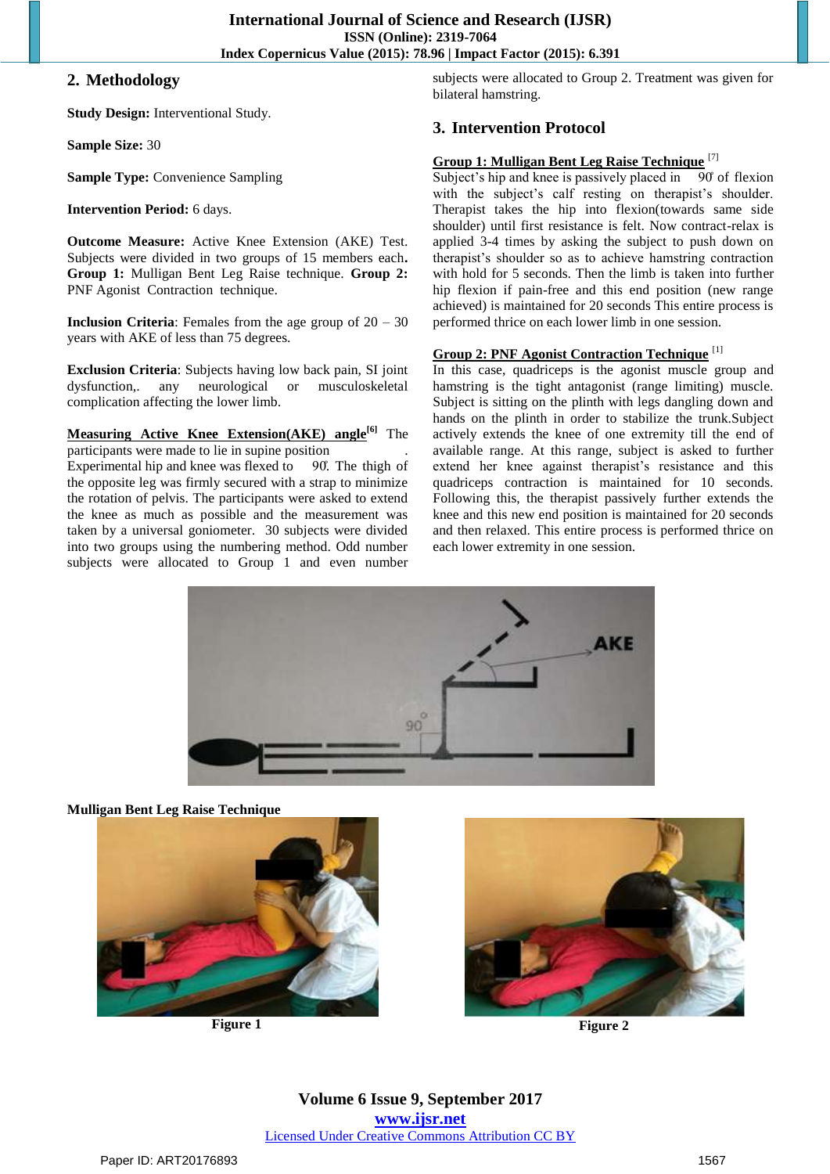## **2. Methodology**

**Study Design:** Interventional Study.

**Sample Size:** 30

**Sample Type:** Convenience Sampling

**Intervention Period:** 6 days.

**Outcome Measure:** Active Knee Extension (AKE) Test. Subjects were divided in two groups of 15 members each**. Group 1:** Mulligan Bent Leg Raise technique. **Group 2:** PNF Agonist Contraction technique.

**Inclusion Criteria:** Females from the age group of  $20 - 30$ years with AKE of less than 75 degrees.

**Exclusion Criteria**: Subjects having low back pain, SI joint dysfunction,. any neurological or musculoskeletal complication affecting the lower limb.

#### **Measuring Active Knee Extension(AKE) angle[6]** The participants were made to lie in supine position .

Experimental hip and knee was flexed to  $90$ . The thigh of the opposite leg was firmly secured with a strap to minimize the rotation of pelvis. The participants were asked to extend the knee as much as possible and the measurement was taken by a universal goniometer. 30 subjects were divided into two groups using the numbering method. Odd number subjects were allocated to Group 1 and even number subjects were allocated to Group 2. Treatment was given for bilateral hamstring.

# **3. Intervention Protocol**

#### **Group 1: Mulligan Bent Leg Raise Technique** [7]

Subject's hip and knee is passively placed in  $\overline{90}$  of flexion with the subject's calf resting on therapist's shoulder. Therapist takes the hip into flexion(towards same side shoulder) until first resistance is felt. Now contract-relax is applied 3-4 times by asking the subject to push down on therapist's shoulder so as to achieve hamstring contraction with hold for 5 seconds. Then the limb is taken into further hip flexion if pain-free and this end position (new range achieved) is maintained for 20 seconds This entire process is performed thrice on each lower limb in one session.

#### **Group 2: PNF Agonist Contraction Technique** [1]

In this case, quadriceps is the agonist muscle group and hamstring is the tight antagonist (range limiting) muscle. Subject is sitting on the plinth with legs dangling down and hands on the plinth in order to stabilize the trunk.Subject actively extends the knee of one extremity till the end of available range. At this range, subject is asked to further extend her knee against therapist's resistance and this quadriceps contraction is maintained for 10 seconds. Following this, the therapist passively further extends the knee and this new end position is maintained for 20 seconds and then relaxed. This entire process is performed thrice on each lower extremity in one session.



**Mulligan Bent Leg Raise Technique**





**Figure 1 Figure 2**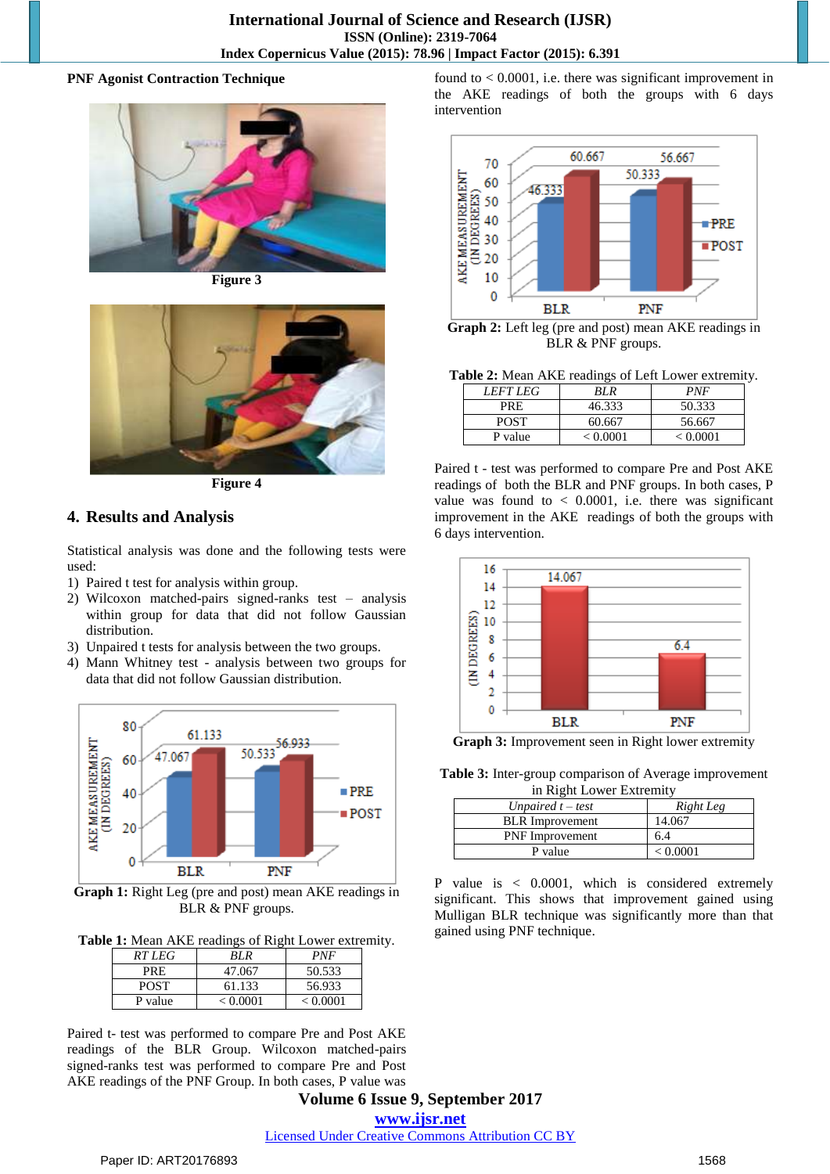#### **PNF Agonist Contraction Technique**



**Figure 3**



**Figure 4**

# **4. Results and Analysis**

Statistical analysis was done and the following tests were used:

- 1) Paired t test for analysis within group.
- 2) Wilcoxon matched-pairs signed-ranks test analysis within group for data that did not follow Gaussian distribution.
- 3) Unpaired t tests for analysis between the two groups.
- 4) Mann Whitney test analysis between two groups for data that did not follow Gaussian distribution.



**Graph 1:** Right Leg (pre and post) mean AKE readings in BLR & PNF groups.

**Table 1:** Mean AKE readings of Right Lower extremity.

| RT LEG      | RI R     | PNF      |
|-------------|----------|----------|
| PRE         | 47.067   | 50.533   |
| <b>POST</b> | 61.133   | 56.933   |
| P value     | < 0.0001 | < 0.0001 |

Paired t- test was performed to compare Pre and Post AKE readings of the BLR Group. Wilcoxon matched-pairs signed-ranks test was performed to compare Pre and Post AKE readings of the PNF Group. In both cases, P value was

found to  $< 0.0001$ , i.e. there was significant improvement in the AKE readings of both the groups with 6 days intervention



**Graph 2:** Left leg (pre and post) mean AKE readings in BLR & PNF groups.

**Table 2:** Mean AKE readings of Left Lower extremity.

| <i>LEFT LEG</i> | RL R     | <i>PNF</i> |
|-----------------|----------|------------|
| PRE             | 46.333   | 50.333     |
| <b>POST</b>     | 60.667   | 56.667     |
| P value         | < 0.0001 | < 0.0001   |

Paired t - test was performed to compare Pre and Post AKE readings of both the BLR and PNF groups. In both cases, P value was found to  $< 0.0001$ , i.e. there was significant improvement in the AKE readings of both the groups with 6 days intervention.



**Graph 3:** Improvement seen in Right lower extremity

**Table 3:** Inter-group comparison of Average improvement in Right Lower Extremity

| ----                   |           |  |
|------------------------|-----------|--|
| Unpaired $t - test$    | Right Leg |  |
| <b>BLR</b> Improvement | 14.067    |  |
| <b>PNF</b> Improvement | 6.4       |  |
| P value                | < 0.0001  |  |

P value is < 0.0001, which is considered extremely significant. This shows that improvement gained using Mulligan BLR technique was significantly more than that gained using PNF technique.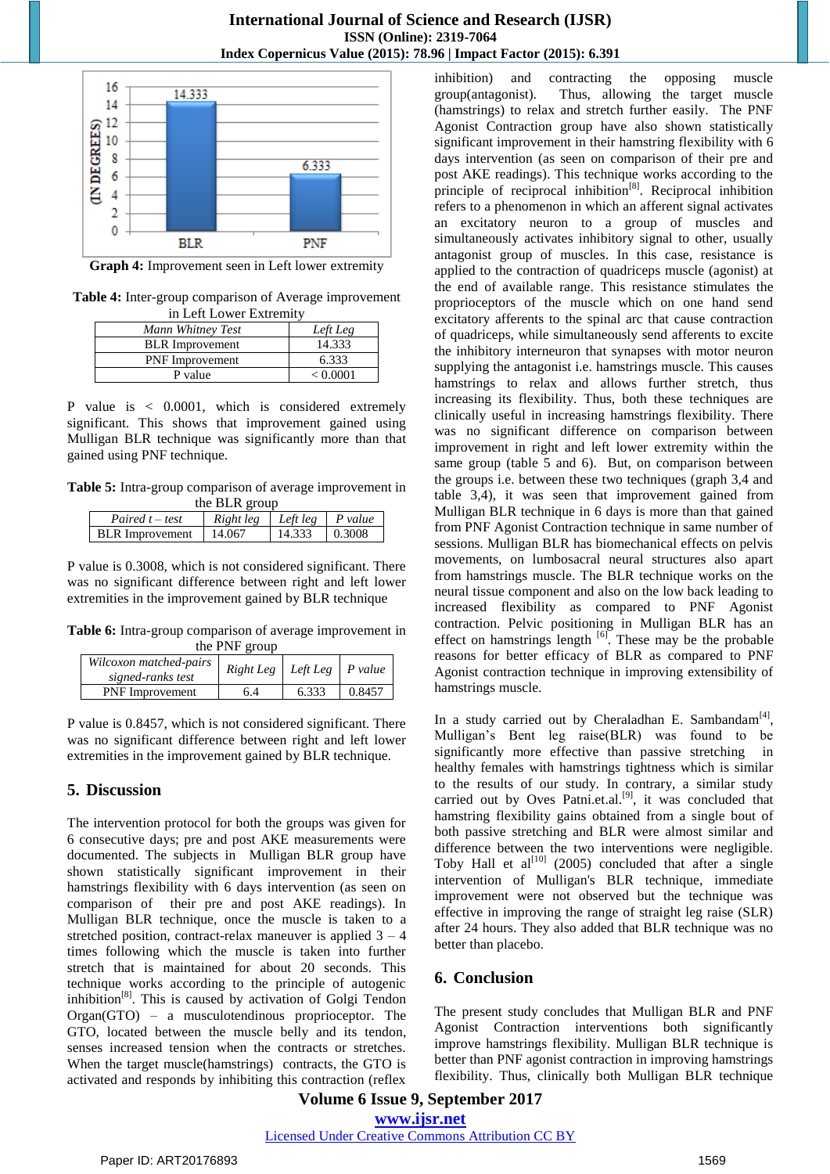

**Graph 4:** Improvement seen in Left lower extremity

**Table 4:** Inter-group comparison of Average improvement in Left Lower Extremity

| Mann Whitney Test      | Left Leg |  |
|------------------------|----------|--|
| <b>BLR</b> Improvement | 14.333   |  |
| <b>PNF</b> Improvement | 6.333    |  |
| P value                | < 0.0001 |  |

P value is < 0.0001, which is considered extremely significant. This shows that improvement gained using Mulligan BLR technique was significantly more than that gained using PNF technique.

**Table 5:** Intra-group comparison of average improvement in

| the BLR group          |                              |        |        |
|------------------------|------------------------------|--------|--------|
| Paired $t - test$      | $Right$ leg Left leg P value |        |        |
| <b>BLR</b> Improvement | 14.067                       | 14.333 | 0.3008 |

P value is 0.3008, which is not considered significant. There was no significant difference between right and left lower extremities in the improvement gained by BLR technique

**Table 6:** Intra-group comparison of average improvement in

| the PNF group                               |                                        |       |        |  |
|---------------------------------------------|----------------------------------------|-------|--------|--|
| Wilcoxon matched-pairs<br>signed-ranks test | $Right Leg \mid Left Leg \mid P value$ |       |        |  |
| <b>PNF</b> Improvement                      | 6.4                                    | 6.333 | 0.8457 |  |

P value is 0.8457, which is not considered significant. There was no significant difference between right and left lower extremities in the improvement gained by BLR technique.

## **5. Discussion**

The intervention protocol for both the groups was given for 6 consecutive days; pre and post AKE measurements were documented. The subjects in Mulligan BLR group have shown statistically significant improvement in their hamstrings flexibility with 6 days intervention (as seen on comparison of their pre and post AKE readings). In Mulligan BLR technique, once the muscle is taken to a stretched position, contract-relax maneuver is applied  $3 - 4$ times following which the muscle is taken into further stretch that is maintained for about 20 seconds. This technique works according to the principle of autogenic inhibition[8]. This is caused by activation of Golgi Tendon Organ(GTO) – a musculotendinous proprioceptor. The GTO, located between the muscle belly and its tendon, senses increased tension when the contracts or stretches. When the target muscle(hamstrings) contracts, the GTO is activated and responds by inhibiting this contraction (reflex

inhibition) and contracting the opposing muscle group(antagonist). Thus, allowing the target muscle (hamstrings) to relax and stretch further easily. The PNF Agonist Contraction group have also shown statistically significant improvement in their hamstring flexibility with 6 days intervention (as seen on comparison of their pre and post AKE readings). This technique works according to the principle of reciprocal inhibition<sup>[8]</sup>. Reciprocal inhibition refers to a phenomenon in which an afferent signal activates an excitatory neuron to a group of muscles and simultaneously activates inhibitory signal to other, usually antagonist group of muscles. In this case, resistance is applied to the contraction of quadriceps muscle (agonist) at the end of available range. This resistance stimulates the proprioceptors of the muscle which on one hand send excitatory afferents to the spinal arc that cause contraction of quadriceps, while simultaneously send afferents to excite the inhibitory interneuron that synapses with motor neuron supplying the antagonist i.e. hamstrings muscle. This causes hamstrings to relax and allows further stretch, thus increasing its flexibility. Thus, both these techniques are clinically useful in increasing hamstrings flexibility. There was no significant difference on comparison between improvement in right and left lower extremity within the same group (table 5 and 6). But, on comparison between the groups i.e. between these two techniques (graph 3,4 and table 3,4), it was seen that improvement gained from Mulligan BLR technique in 6 days is more than that gained from PNF Agonist Contraction technique in same number of sessions. Mulligan BLR has biomechanical effects on pelvis movements, on lumbosacral neural structures also apart from hamstrings muscle. The BLR technique works on the neural tissue component and also on the low back leading to increased flexibility as compared to PNF Agonist contraction. Pelvic positioning in Mulligan BLR has an effect on hamstrings length  $\left[6\right]$ . These may be the probable reasons for better efficacy of BLR as compared to PNF Agonist contraction technique in improving extensibility of hamstrings muscle.

In a study carried out by Cheraladhan E. Sambandam<sup>[4]</sup>, Mulligan's Bent leg raise(BLR) was found to be significantly more effective than passive stretching in healthy females with hamstrings tightness which is similar to the results of our study. In contrary, a similar study carried out by Oves Patni.et.al. $[9]$ , it was concluded that hamstring flexibility gains obtained from a single bout of both passive stretching and BLR were almost similar and difference between the two interventions were negligible. Toby Hall et al<sup>[10]</sup> (2005) concluded that after a single intervention of Mulligan's BLR technique, immediate improvement were not observed but the technique was effective in improving the range of straight leg raise (SLR) after 24 hours. They also added that BLR technique was no better than placebo.

## **6. Conclusion**

The present study concludes that Mulligan BLR and PNF Agonist Contraction interventions both significantly improve hamstrings flexibility. Mulligan BLR technique is better than PNF agonist contraction in improving hamstrings flexibility. Thus, clinically both Mulligan BLR technique